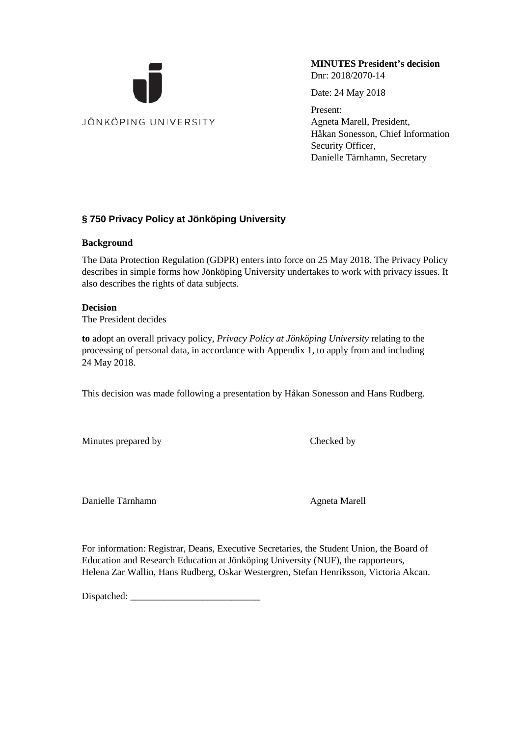

**MINUTES President's decision** Dnr: 2018/2070-14

Date: 24 May 2018

Present: Agneta Marell, President, Håkan Sonesson, Chief Information Security Officer, Danielle Tärnhamn, Secretary

#### **§ 750 Privacy Policy at Jönköping University**

#### **Background**

The Data Protection Regulation (GDPR) enters into force on 25 May 2018. The Privacy Policy describes in simple forms how Jönköping University undertakes to work with privacy issues. It also describes the rights of data subjects.

#### **Decision**

The President decides

**to** adopt an overall privacy policy, *Privacy Policy at Jönköping University* relating to the processing of personal data, in accordance with Appendix 1, to apply from and including 24 May 2018.

This decision was made following a presentation by Håkan Sonesson and Hans Rudberg.

Minutes prepared by Checked by

Danielle Tärnhamn Agneta Marell

For information: Registrar, Deans, Executive Secretaries, the Student Union, the Board of Education and Research Education at Jönköping University (NUF), the rapporteurs, Helena Zar Wallin, Hans Rudberg, Oskar Westergren, Stefan Henriksson, Victoria Akcan.

Dispatched: \_\_\_\_\_\_\_\_\_\_\_\_\_\_\_\_\_\_\_\_\_\_\_\_\_\_\_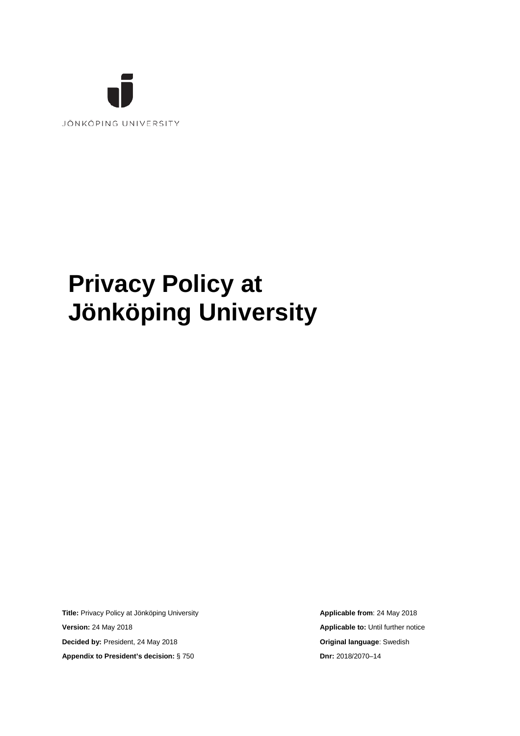

# **Privacy Policy at Jönköping University**

**Title: Privacy Policy at Jönköping University <b>Applicable from**: 24 May 2018 **Version:** 24 May 2018 **Applicable to:** Until further notice **Decided by:** President, 24 May 2018 **Original language**: Swedish **Appendix to President's decision:** § 750 **Dnr:** 2018/2070–14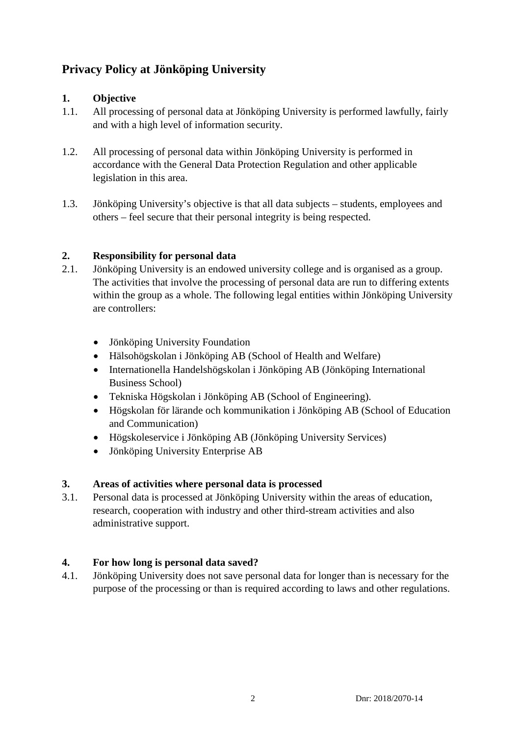## **Privacy Policy at Jönköping University**

## **1. Objective**

- 1.1. All processing of personal data at Jönköping University is performed lawfully, fairly and with a high level of information security.
- 1.2. All processing of personal data within Jönköping University is performed in accordance with the General Data Protection Regulation and other applicable legislation in this area.
- 1.3. Jönköping University's objective is that all data subjects students, employees and others – feel secure that their personal integrity is being respected.

## **2. Responsibility for personal data**

- 2.1. Jönköping University is an endowed university college and is organised as a group. The activities that involve the processing of personal data are run to differing extents within the group as a whole. The following legal entities within Jönköping University are controllers:
	- Jönköping University Foundation
	- Hälsohögskolan i Jönköping AB (School of Health and Welfare)
	- Internationella Handelshögskolan i Jönköping AB (Jönköping International Business School)
	- Tekniska Högskolan i Jönköping AB (School of Engineering).
	- Högskolan för lärande och kommunikation i Jönköping AB (School of Education and Communication)
	- Högskoleservice i Jönköping AB (Jönköping University Services)
	- Jönköping University Enterprise AB

## **3. Areas of activities where personal data is processed**

3.1. Personal data is processed at Jönköping University within the areas of education, research, cooperation with industry and other third-stream activities and also administrative support.

## **4. For how long is personal data saved?**

4.1. Jönköping University does not save personal data for longer than is necessary for the purpose of the processing or than is required according to laws and other regulations.